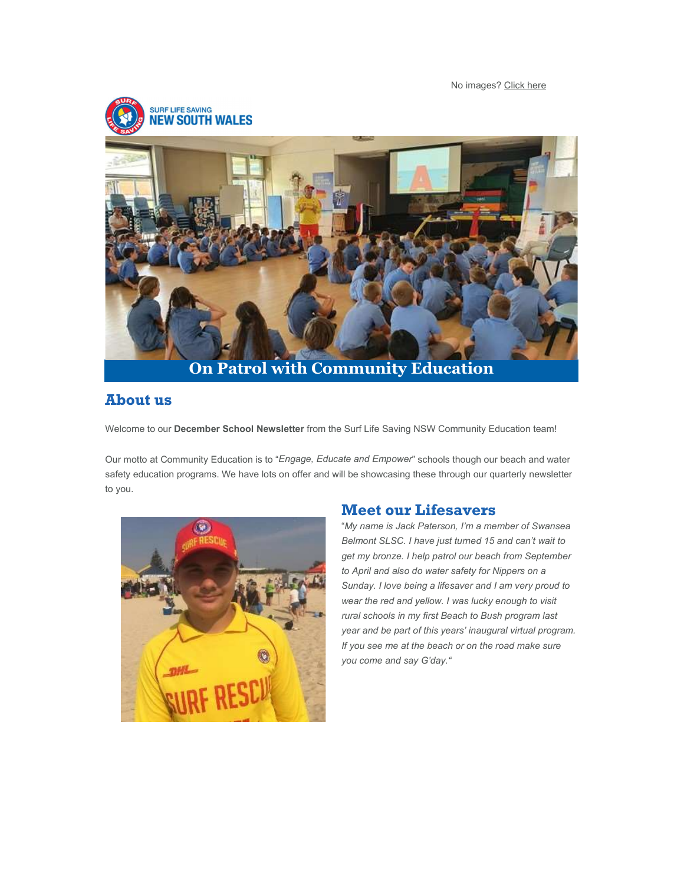No images? Click here



## About us

Welcome to our December School Newsletter from the Surf Life Saving NSW Community Education team!

Our motto at Community Education is to "Engage, Educate and Empower" schools though our beach and water safety education programs. We have lots on offer and will be showcasing these through our quarterly newsletter to you.



#### Meet our Lifesavers

"My name is Jack Paterson, I'm a member of Swansea Belmont SLSC. I have just turned 15 and can't wait to get my bronze. I help patrol our beach from September to April and also do water safety for Nippers on a Sunday. I love being a lifesaver and I am very proud to wear the red and yellow. I was lucky enough to visit rural schools in my first Beach to Bush program last year and be part of this years' inaugural virtual program. If you see me at the beach or on the road make sure you come and say G'day."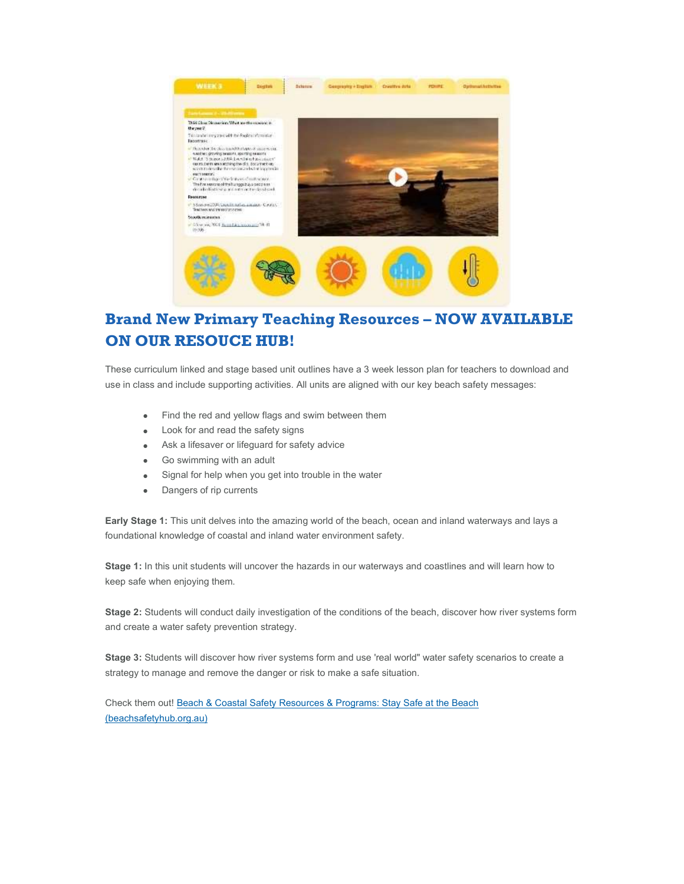

# Brand New Primary Teaching Resources – NOW AVAILABLE ON OUR RESOUCE HUB!

These curriculum linked and stage based unit outlines have a 3 week lesson plan for teachers to download and use in class and include supporting activities. All units are aligned with our key beach safety messages:

- Find the red and yellow flags and swim between them
- Look for and read the safety signs
- Ask a lifesaver or lifeguard for safety advice
- Go swimming with an adult
- Signal for help when you get into trouble in the water
- Dangers of rip currents

Early Stage 1: This unit delves into the amazing world of the beach, ocean and inland waterways and lays a foundational knowledge of coastal and inland water environment safety.

Stage 1: In this unit students will uncover the hazards in our waterways and coastlines and will learn how to keep safe when enjoying them.

Stage 2: Students will conduct daily investigation of the conditions of the beach, discover how river systems form and create a water safety prevention strategy.

Stage 3: Students will discover how river systems form and use 'real world" water safety scenarios to create a strategy to manage and remove the danger or risk to make a safe situation.

Check them out! Beach & Coastal Safety Resources & Programs: Stay Safe at the Beach (beachsafetyhub.org.au)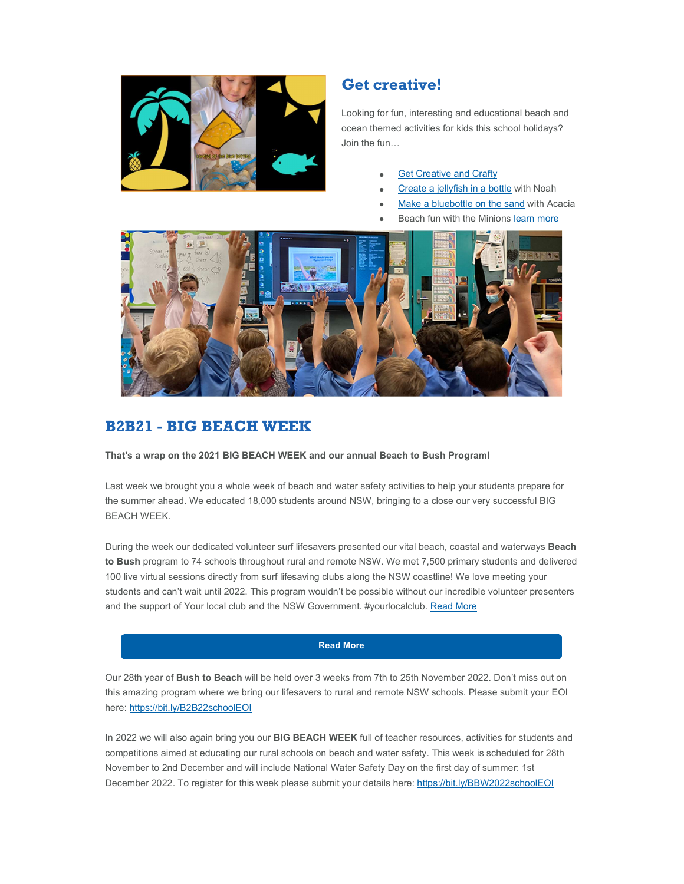

#### Get creative!

Looking for fun, interesting and educational beach and ocean themed activities for kids this school holidays? Join the fun…

- **Get Creative and Crafty**
- Create a jellyfish in a bottle with Noah
- Make a bluebottle on the sand with Acacia
- Beach fun with the Minions learn more



#### B2B21 - BIG BEACH WEEK

That's a wrap on the 2021 BIG BEACH WEEK and our annual Beach to Bush Program!

Last week we brought you a whole week of beach and water safety activities to help your students prepare for the summer ahead. We educated 18,000 students around NSW, bringing to a close our very successful BIG BEACH WEEK.

During the week our dedicated volunteer surf lifesavers presented our vital beach, coastal and waterways Beach to Bush program to 74 schools throughout rural and remote NSW. We met 7,500 primary students and delivered 100 live virtual sessions directly from surf lifesaving clubs along the NSW coastline! We love meeting your students and can't wait until 2022. This program wouldn't be possible without our incredible volunteer presenters and the support of Your local club and the NSW Government. #yourlocalclub. Read More

#### Read More

Our 28th year of Bush to Beach will be held over 3 weeks from 7th to 25th November 2022. Don't miss out on this amazing program where we bring our lifesavers to rural and remote NSW schools. Please submit your EOI here: https://bit.ly/B2B22schoolEOI

In 2022 we will also again bring you our BIG BEACH WEEK full of teacher resources, activities for students and competitions aimed at educating our rural schools on beach and water safety. This week is scheduled for 28th November to 2nd December and will include National Water Safety Day on the first day of summer: 1st December 2022. To register for this week please submit your details here: https://bit.ly/BBW2022schoolEOI